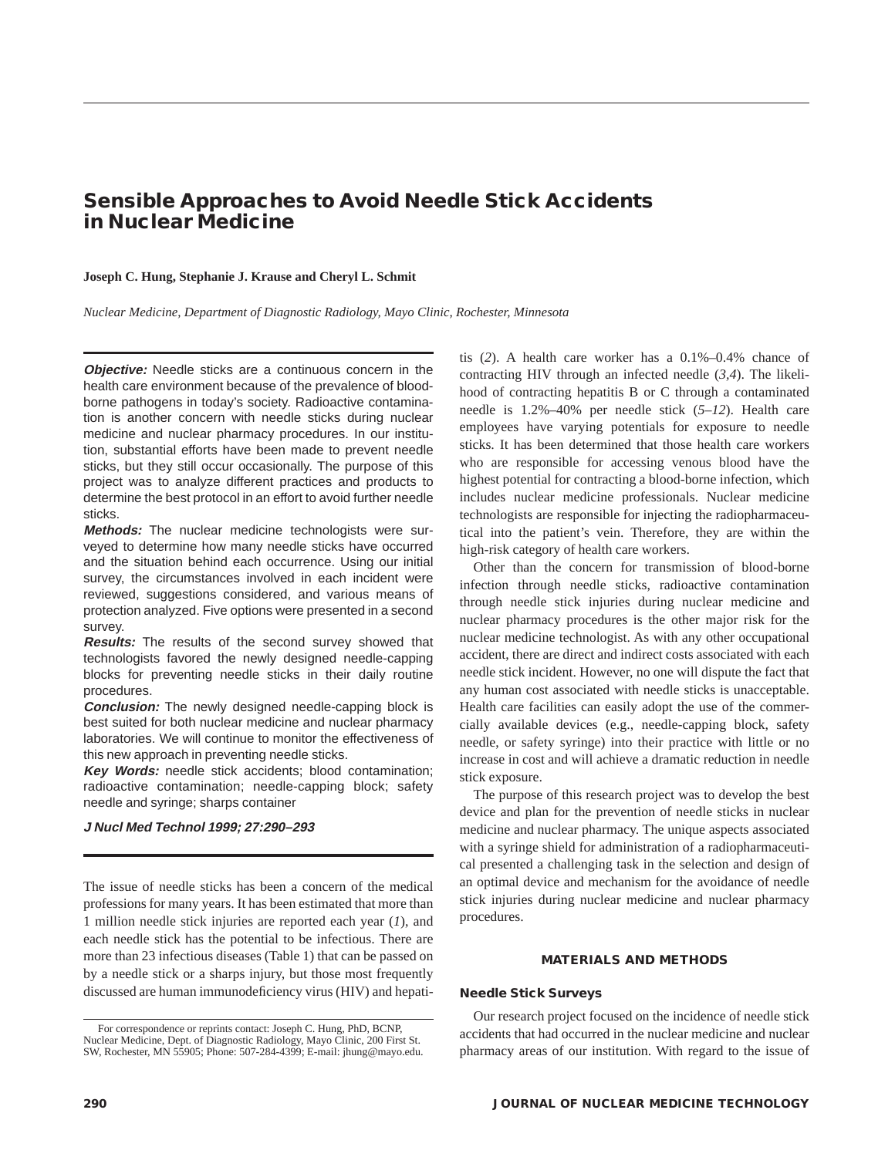# **Sensible Approaches to Avoid Needle Stick Accidents in Nuclear Medicine**

#### **Joseph C. Hung, Stephanie J. Krause and Cheryl L. Schmit**

*Nuclear Medicine, Department of Diagnostic Radiology, Mayo Clinic, Rochester, Minnesota*

**Objective:** Needle sticks are a continuous concern in the health care environment because of the prevalence of bloodborne pathogens in today's society. Radioactive contamination is another concern with needle sticks during nuclear medicine and nuclear pharmacy procedures. In our institution, substantial efforts have been made to prevent needle sticks, but they still occur occasionally. The purpose of this project was to analyze different practices and products to determine the best protocol in an effort to avoid further needle sticks.

**Methods:** The nuclear medicine technologists were surveyed to determine how many needle sticks have occurred and the situation behind each occurrence. Using our initial survey, the circumstances involved in each incident were reviewed, suggestions considered, and various means of protection analyzed. Five options were presented in a second survey.

**Results:** The results of the second survey showed that technologists favored the newly designed needle-capping blocks for preventing needle sticks in their daily routine procedures.

**Conclusion:** The newly designed needle-capping block is best suited for both nuclear medicine and nuclear pharmacy laboratories. We will continue to monitor the effectiveness of this new approach in preventing needle sticks.

**Key Words:** needle stick accidents; blood contamination; radioactive contamination; needle-capping block; safety needle and syringe; sharps container

#### **J Nucl Med Technol 1999; 27:290–293**

The issue of needle sticks has been a concern of the medical professions for many years. It has been estimated that more than 1 million needle stick injuries are reported each year (*1*), and each needle stick has the potential to be infectious. There are more than 23 infectious diseases (Table 1) that can be passed on by a needle stick or a sharps injury, but those most frequently discussed are human immunodeficiency virus (HIV) and hepatitis (*2*). A health care worker has a 0.1%–0.4% chance of contracting HIV through an infected needle (*3,4*). The likelihood of contracting hepatitis B or C through a contaminated needle is 1.2%–40% per needle stick (*5–12*). Health care employees have varying potentials for exposure to needle sticks. It has been determined that those health care workers who are responsible for accessing venous blood have the highest potential for contracting a blood-borne infection, which includes nuclear medicine professionals. Nuclear medicine technologists are responsible for injecting the radiopharmaceutical into the patient's vein. Therefore, they are within the high-risk category of health care workers.

Other than the concern for transmission of blood-borne infection through needle sticks, radioactive contamination through needle stick injuries during nuclear medicine and nuclear pharmacy procedures is the other major risk for the nuclear medicine technologist. As with any other occupational accident, there are direct and indirect costs associated with each needle stick incident. However, no one will dispute the fact that any human cost associated with needle sticks is unacceptable. Health care facilities can easily adopt the use of the commercially available devices (e.g., needle-capping block, safety needle, or safety syringe) into their practice with little or no increase in cost and will achieve a dramatic reduction in needle stick exposure.

The purpose of this research project was to develop the best device and plan for the prevention of needle sticks in nuclear medicine and nuclear pharmacy. The unique aspects associated with a syringe shield for administration of a radiopharmaceutical presented a challenging task in the selection and design of an optimal device and mechanism for the avoidance of needle stick injuries during nuclear medicine and nuclear pharmacy procedures.

#### **MATERIALS AND METHODS**

#### **Needle Stick Surveys**

Our research project focused on the incidence of needle stick accidents that had occurred in the nuclear medicine and nuclear pharmacy areas of our institution. With regard to the issue of

For correspondence or reprints contact: Joseph C. Hung, PhD, BCNP, Nuclear Medicine, Dept. of Diagnostic Radiology, Mayo Clinic, 200 First St. SW, Rochester, MN 55905; Phone: 507-284-4399; E-mail: jhung@mayo.edu.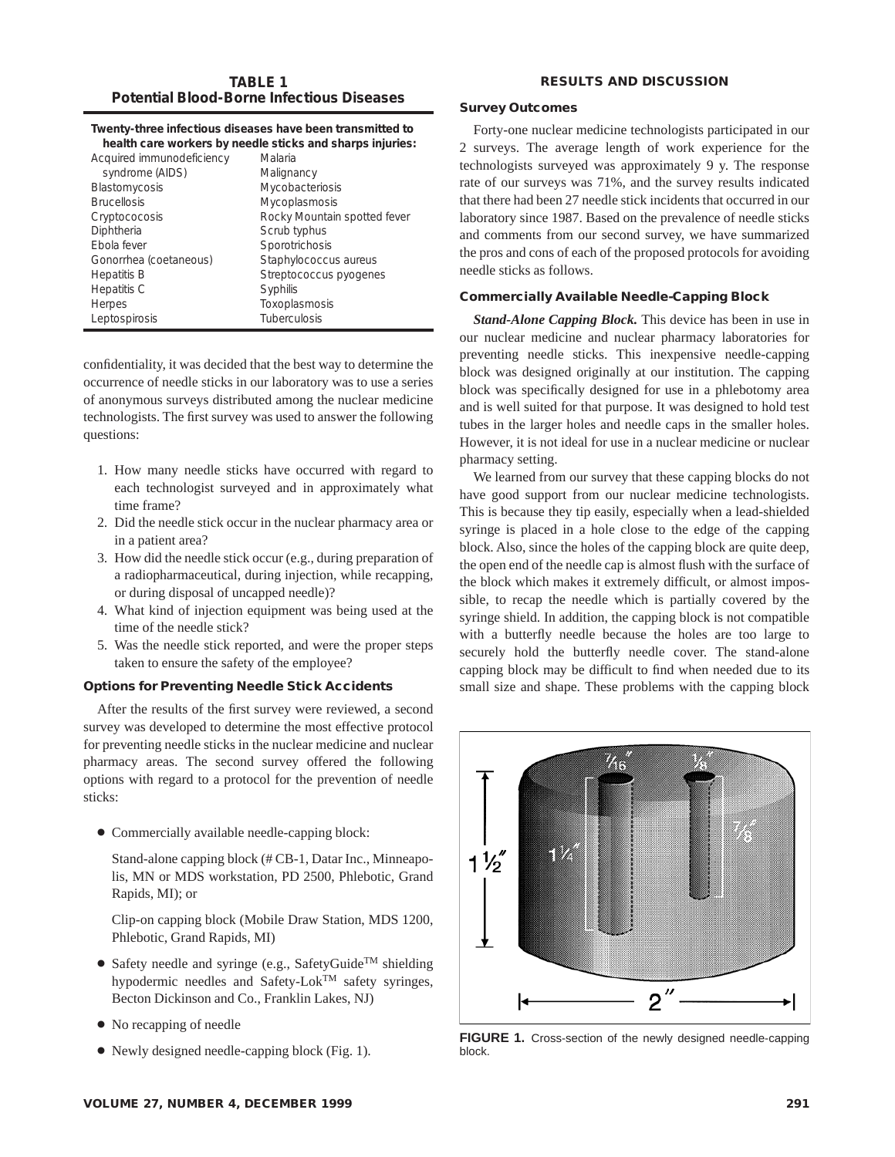# **TABLE 1 Potential Blood-Borne Infectious Diseases**

### **RESULTS AND DISCUSSION**

### **Twenty-three infectious diseases have been transmitted to health care workers by needle sticks and sharps injuries:**

| Acquired immunodeficiency | Malaria                      |
|---------------------------|------------------------------|
| syndrome (AIDS)           | Malignancy                   |
| Blastomycosis             | Mycobacteriosis              |
| <b>Brucellosis</b>        | Mycoplasmosis                |
| Cryptococosis             | Rocky Mountain spotted fever |
| Diphtheria                | Scrub typhus                 |
| <b>F</b> bola fever       | Sporotrichosis               |
| Gonorrhea (coetaneous)    | Staphylococcus aureus        |
| <b>Hepatitis B</b>        | Streptococcus pyogenes       |
| Hepatitis C               | Syphilis                     |
| <b>Herpes</b>             | Toxoplasmosis                |
| Leptospirosis             | Tuberculosis                 |

confidentiality, it was decided that the best way to determine the occurrence of needle sticks in our laboratory was to use a series of anonymous surveys distributed among the nuclear medicine technologists. The first survey was used to answer the following questions:

- 1. How many needle sticks have occurred with regard to each technologist surveyed and in approximately what time frame?
- 2. Did the needle stick occur in the nuclear pharmacy area or in a patient area?
- 3. How did the needle stick occur (e.g., during preparation of a radiopharmaceutical, during injection, while recapping, or during disposal of uncapped needle)?
- 4. What kind of injection equipment was being used at the time of the needle stick?
- 5. Was the needle stick reported, and were the proper steps taken to ensure the safety of the employee?

## **Options for Preventing Needle Stick Accidents**

After the results of the first survey were reviewed, a second survey was developed to determine the most effective protocol for preventing needle sticks in the nuclear medicine and nuclear pharmacy areas. The second survey offered the following options with regard to a protocol for the prevention of needle sticks:

● Commercially available needle-capping block:

Stand-alone capping block (# CB-1, Datar Inc., Minneapolis, MN or MDS workstation, PD 2500, Phlebotic, Grand Rapids, MI); or

Clip-on capping block (Mobile Draw Station, MDS 1200, Phlebotic, Grand Rapids, MI)

- Safety needle and syringe (e.g., SafetyGuide<sup>TM</sup> shielding hypodermic needles and Safety-Lok<sup>TM</sup> safety syringes, Becton Dickinson and Co., Franklin Lakes, NJ)
- No recapping of needle
- Newly designed needle-capping block (Fig. 1).

# **Survey Outcomes**

Forty-one nuclear medicine technologists participated in our 2 surveys. The average length of work experience for the technologists surveyed was approximately 9 y. The response rate of our surveys was 71%, and the survey results indicated that there had been 27 needle stick incidents that occurred in our laboratory since 1987. Based on the prevalence of needle sticks and comments from our second survey, we have summarized the pros and cons of each of the proposed protocols for avoiding needle sticks as follows.

# **Commercially Available Needle-Capping Block**

*Stand-Alone Capping Block.* This device has been in use in our nuclear medicine and nuclear pharmacy laboratories for preventing needle sticks. This inexpensive needle-capping block was designed originally at our institution. The capping block was specifically designed for use in a phlebotomy area and is well suited for that purpose. It was designed to hold test tubes in the larger holes and needle caps in the smaller holes. However, it is not ideal for use in a nuclear medicine or nuclear pharmacy setting.

We learned from our survey that these capping blocks do not have good support from our nuclear medicine technologists. This is because they tip easily, especially when a lead-shielded syringe is placed in a hole close to the edge of the capping block. Also, since the holes of the capping block are quite deep, the open end of the needle cap is almost flush with the surface of the block which makes it extremely difficult, or almost impossible, to recap the needle which is partially covered by the syringe shield. In addition, the capping block is not compatible with a butterfly needle because the holes are too large to securely hold the butterfly needle cover. The stand-alone capping block may be difficult to find when needed due to its small size and shape. These problems with the capping block



**FIGURE 1.** Cross-section of the newly designed needle-capping block.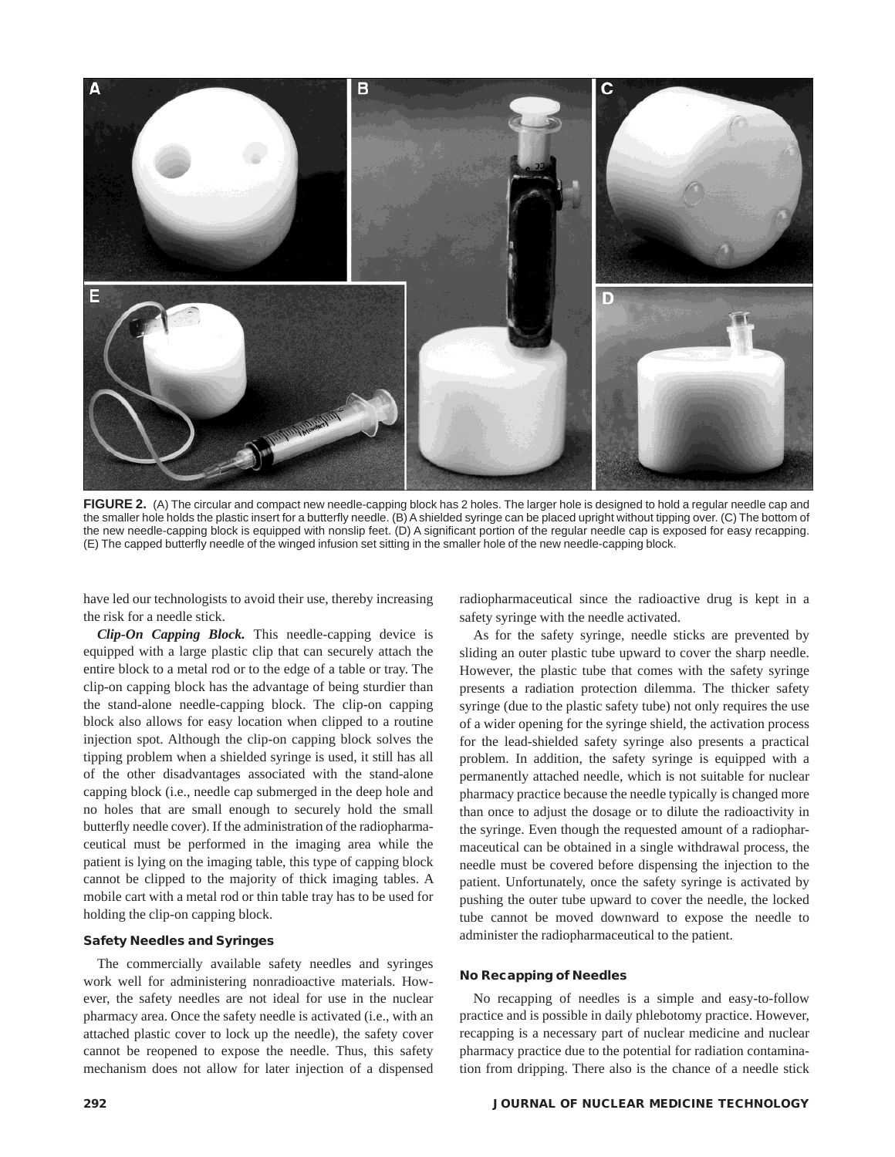

**FIGURE 2.** (A) The circular and compact new needle-capping block has 2 holes. The larger hole is designed to hold a regular needle cap and the smaller hole holds the plastic insert for a butterfly needle. (B) A shielded syringe can be placed upright without tipping over. (C) The bottom of the new needle-capping block is equipped with nonslip feet. (D) A significant portion of the regular needle cap is exposed for easy recapping. (E) The capped butterfly needle of the winged infusion set sitting in the smaller hole of the new needle-capping block.

have led our technologists to avoid their use, thereby increasing the risk for a needle stick.

*Clip-On Capping Block.* This needle-capping device is equipped with a large plastic clip that can securely attach the entire block to a metal rod or to the edge of a table or tray. The clip-on capping block has the advantage of being sturdier than the stand-alone needle-capping block. The clip-on capping block also allows for easy location when clipped to a routine injection spot. Although the clip-on capping block solves the tipping problem when a shielded syringe is used, it still has all of the other disadvantages associated with the stand-alone capping block (i.e., needle cap submerged in the deep hole and no holes that are small enough to securely hold the small butterfly needle cover). If the administration of the radiopharmaceutical must be performed in the imaging area while the patient is lying on the imaging table, this type of capping block cannot be clipped to the majority of thick imaging tables. A mobile cart with a metal rod or thin table tray has to be used for holding the clip-on capping block.

# **Safety Needles and Syringes**

The commercially available safety needles and syringes work well for administering nonradioactive materials. However, the safety needles are not ideal for use in the nuclear pharmacy area. Once the safety needle is activated (i.e., with an attached plastic cover to lock up the needle), the safety cover cannot be reopened to expose the needle. Thus, this safety mechanism does not allow for later injection of a dispensed radiopharmaceutical since the radioactive drug is kept in a safety syringe with the needle activated.

As for the safety syringe, needle sticks are prevented by sliding an outer plastic tube upward to cover the sharp needle. However, the plastic tube that comes with the safety syringe presents a radiation protection dilemma. The thicker safety syringe (due to the plastic safety tube) not only requires the use of a wider opening for the syringe shield, the activation process for the lead-shielded safety syringe also presents a practical problem. In addition, the safety syringe is equipped with a permanently attached needle, which is not suitable for nuclear pharmacy practice because the needle typically is changed more than once to adjust the dosage or to dilute the radioactivity in the syringe. Even though the requested amount of a radiopharmaceutical can be obtained in a single withdrawal process, the needle must be covered before dispensing the injection to the patient. Unfortunately, once the safety syringe is activated by pushing the outer tube upward to cover the needle, the locked tube cannot be moved downward to expose the needle to administer the radiopharmaceutical to the patient.

#### **No Recapping of Needles**

No recapping of needles is a simple and easy-to-follow practice and is possible in daily phlebotomy practice. However, recapping is a necessary part of nuclear medicine and nuclear pharmacy practice due to the potential for radiation contamination from dripping. There also is the chance of a needle stick